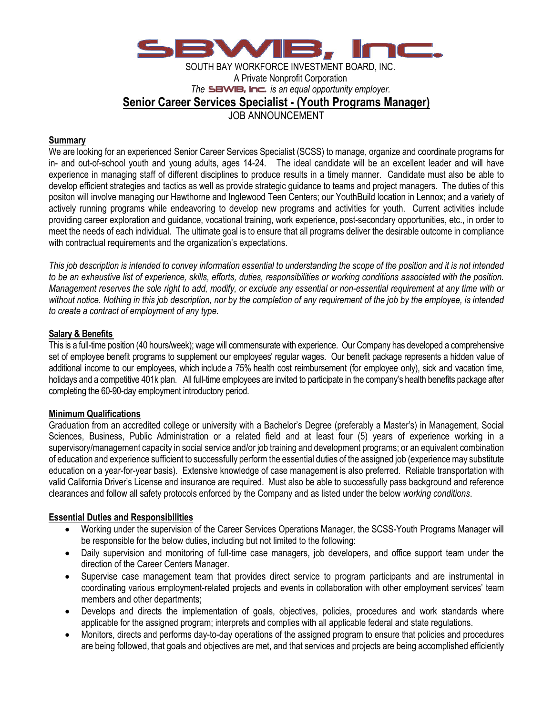

SOUTH BAY WORKFORCE INVESTMENT BOARD, INC. A Private Nonprofit Corporation *The SBWIB. Inc. is an equal opportunity employer.* **Senior Career Services Specialist - (Youth Programs Manager)** JOB ANNOUNCEMENT

#### **Summary**

We are looking for an experienced Senior Career Services Specialist (SCSS) to manage, organize and coordinate programs for in- and out-of-school youth and young adults, ages 14-24. The ideal candidate will be an excellent leader and will have experience in managing staff of different disciplines to produce results in a timely manner. Candidate must also be able to develop efficient strategies and tactics as well as provide strategic guidance to teams and project managers. The duties of this positon will involve managing our Hawthorne and Inglewood Teen Centers; our YouthBuild location in Lennox; and a variety of actively running programs while endeavoring to develop new programs and activities for youth. Current activities include providing career exploration and guidance, vocational training, work experience, post-secondary opportunities, etc., in order to meet the needs of each individual. The ultimate goal is to ensure that all programs deliver the desirable outcome in compliance with contractual requirements and the organization's expectations.

*This job description is intended to convey information essential to understanding the scope of the position and it is not intended to be an exhaustive list of experience, skills, efforts, duties, responsibilities or working conditions associated with the position. Management reserves the sole right to add, modify, or exclude any essential or non-essential requirement at any time with or without notice. Nothing in this job description, nor by the completion of any requirement of the job by the employee, is intended to create a contract of employment of any type.*

#### **Salary & Benefits**

This is a full-time position (40 hours/week); wage will commensurate with experience. Our Company has developed a comprehensive set of employee benefit programs to supplement our employees' regular wages. Our benefit package represents a hidden value of additional income to our employees, which include a 75% health cost reimbursement (for employee only), sick and vacation time, holidays and a competitive 401k plan. All full-time employees are invited to participate in the company's health benefits package after completing the 60-90-day employment introductory period.

## **Minimum Qualifications**

Graduation from an accredited college or university with a Bachelor's Degree (preferably a Master's) in Management, Social Sciences, Business, Public Administration or a related field and at least four (5) years of experience working in a supervisory/management capacity in social service and/or job training and development programs; or an equivalent combination of education and experience sufficient to successfully perform the essential duties of the assigned job (experience may substitute education on a year-for-year basis). Extensive knowledge of case management is also preferred. Reliable transportation with valid California Driver's License and insurance are required. Must also be able to successfully pass background and reference clearances and follow all safety protocols enforced by the Company and as listed under the below *working conditions*.

## **Essential Duties and Responsibilities**

- Working under the supervision of the Career Services Operations Manager, the SCSS-Youth Programs Manager will be responsible for the below duties, including but not limited to the following:
- Daily supervision and monitoring of full-time case managers, job developers, and office support team under the direction of the Career Centers Manager.
- Supervise case management team that provides direct service to program participants and are instrumental in coordinating various employment-related projects and events in collaboration with other employment services' team members and other departments;
- Develops and directs the implementation of goals, objectives, policies, procedures and work standards where applicable for the assigned program; interprets and complies with all applicable federal and state regulations.
- Monitors, directs and performs day-to-day operations of the assigned program to ensure that policies and procedures are being followed, that goals and objectives are met, and that services and projects are being accomplished efficiently